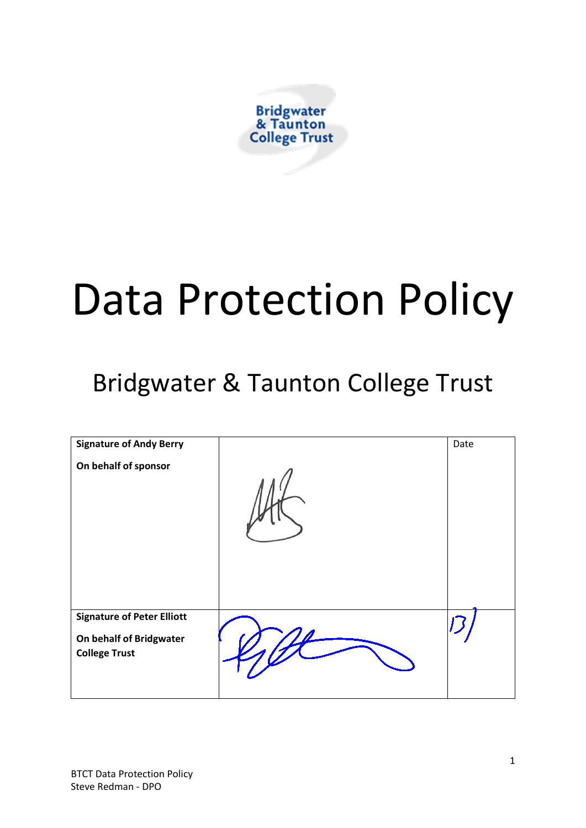

# Data Protection Policy

# Bridgwater & Taunton College Trust

| <b>Signature of Andy Berry</b><br>On behalf of sponsor                               | Date |
|--------------------------------------------------------------------------------------|------|
| <b>Signature of Peter Elliott</b><br>On behalf of Bridgwater<br><b>College Trust</b> |      |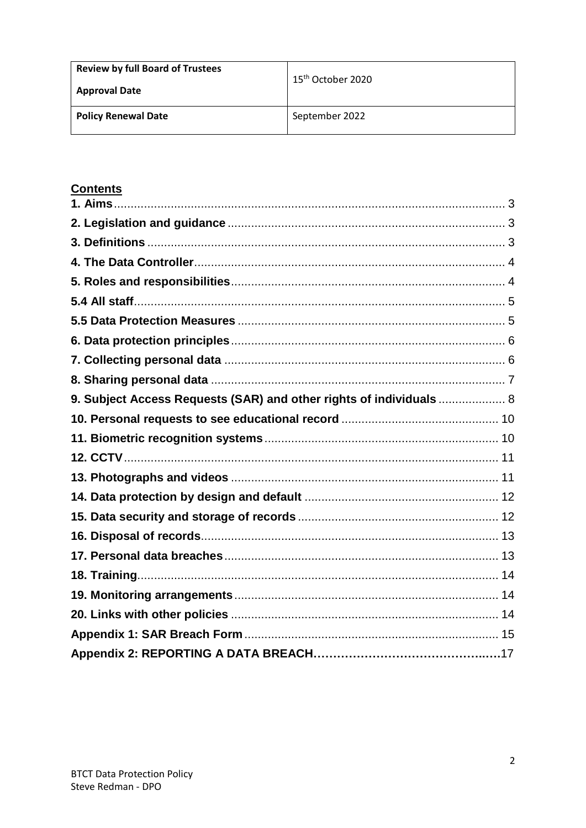| <b>Review by full Board of Trustees</b><br><b>Approval Date</b> | 15 <sup>th</sup> October 2020 |
|-----------------------------------------------------------------|-------------------------------|
| <b>Policy Renewal Date</b>                                      | September 2022                |

# **Contents**

| 9. Subject Access Requests (SAR) and other rights of individuals  8 |  |
|---------------------------------------------------------------------|--|
|                                                                     |  |
|                                                                     |  |
|                                                                     |  |
|                                                                     |  |
|                                                                     |  |
|                                                                     |  |
|                                                                     |  |
|                                                                     |  |
|                                                                     |  |
|                                                                     |  |
|                                                                     |  |
|                                                                     |  |
|                                                                     |  |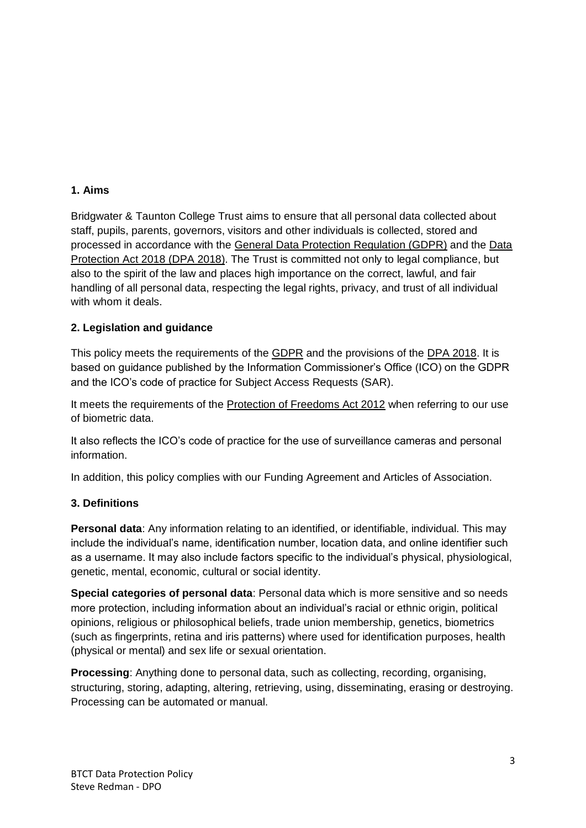#### <span id="page-2-0"></span>**1. Aims**

Bridgwater & Taunton College Trust aims to ensure that all personal data collected about staff, pupils, parents, governors, visitors and other individuals is collected, stored and processed in accordance with the General Data Protection Regulation (GDPR) and the Data Protection Act 2018 (DPA 2018). The Trust is committed not only to legal compliance, but also to the spirit of the law and places high importance on the correct, lawful, and fair handling of all personal data, respecting the legal rights, privacy, and trust of all individual with whom it deals.

#### <span id="page-2-1"></span>**2. Legislation and guidance**

This policy meets the requirements of the GDPR and the provisions of the DPA 2018. It is based on guidance published by the Information Commissioner's Office (ICO) on the GDPR and the ICO's code of practice for Subject Access Requests (SAR).

It meets the requirements of the Protection of Freedoms Act 2012 when referring to our use of biometric data.

It also reflects the ICO's code of practice for the use of surveillance cameras and personal information.

In addition, this policy complies with our Funding Agreement and Articles of Association.

#### <span id="page-2-2"></span>**3. Definitions**

**Personal data**: Any information relating to an identified, or identifiable, individual. This may include the individual's name, identification number, location data, and online identifier such as a username. It may also include factors specific to the individual's physical, physiological, genetic, mental, economic, cultural or social identity.

**Special categories of personal data**: Personal data which is more sensitive and so needs more protection, including information about an individual's racial or ethnic origin, political opinions, religious or philosophical beliefs, trade union membership, genetics, biometrics (such as fingerprints, retina and iris patterns) where used for identification purposes, health (physical or mental) and sex life or sexual orientation.

**Processing**: Anything done to personal data, such as collecting, recording, organising, structuring, storing, adapting, altering, retrieving, using, disseminating, erasing or destroying. Processing can be automated or manual.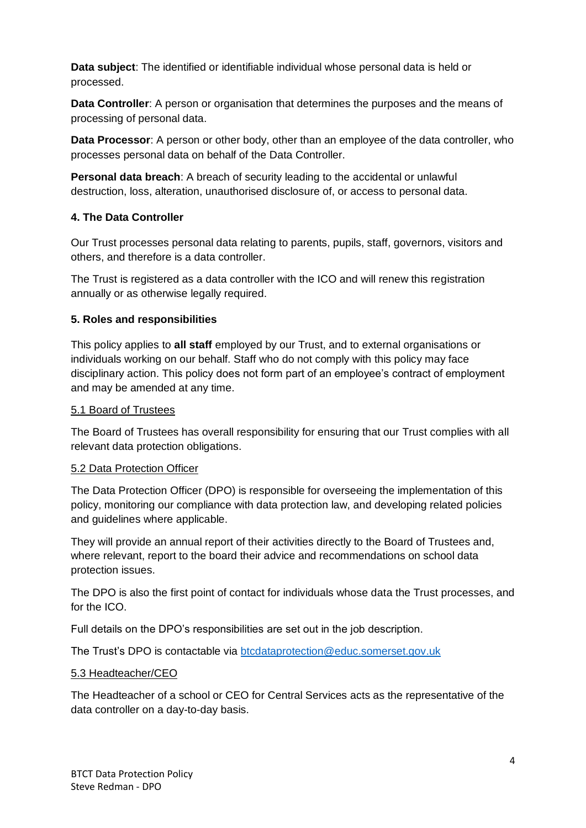**Data subject**: The identified or identifiable individual whose personal data is held or processed.

**Data Controller**: A person or organisation that determines the purposes and the means of processing of personal data.

**Data Processor**: A person or other body, other than an employee of the data controller, who processes personal data on behalf of the Data Controller.

**Personal data breach**: A breach of security leading to the accidental or unlawful destruction, loss, alteration, unauthorised disclosure of, or access to personal data.

#### <span id="page-3-0"></span>**4. The Data Controller**

Our Trust processes personal data relating to parents, pupils, staff, governors, visitors and others, and therefore is a data controller.

The Trust is registered as a data controller with the ICO and will renew this registration annually or as otherwise legally required.

#### <span id="page-3-1"></span>**5. Roles and responsibilities**

This policy applies to **all staff** employed by our Trust, and to external organisations or individuals working on our behalf. Staff who do not comply with this policy may face disciplinary action. This policy does not form part of an employee's contract of employment and may be amended at any time.

#### 5.1 Board of Trustees

The Board of Trustees has overall responsibility for ensuring that our Trust complies with all relevant data protection obligations.

#### 5.2 Data Protection Officer

The Data Protection Officer (DPO) is responsible for overseeing the implementation of this policy, monitoring our compliance with data protection law, and developing related policies and guidelines where applicable.

They will provide an annual report of their activities directly to the Board of Trustees and, where relevant, report to the board their advice and recommendations on school data protection issues.

The DPO is also the first point of contact for individuals whose data the Trust processes, and for the ICO.

Full details on the DPO's responsibilities are set out in the job description.

The Trust's DPO is contactable via [btcdataprotection@educ.somerset.gov.uk](mailto:btcdataprotection@educ.somerset.gov.uk)

#### 5.3 Headteacher/CEO

The Headteacher of a school or CEO for Central Services acts as the representative of the data controller on a day-to-day basis.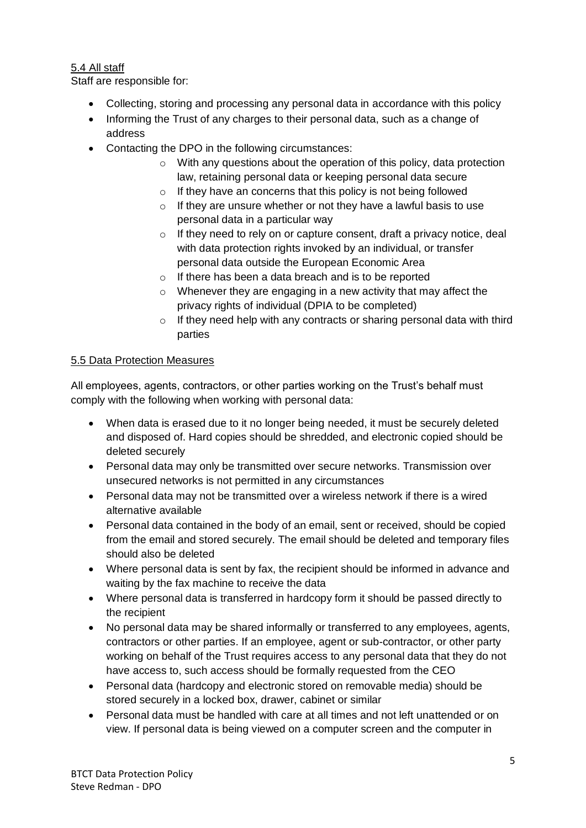#### <span id="page-4-0"></span>5.4 All staff

Staff are responsible for:

- Collecting, storing and processing any personal data in accordance with this policy
- Informing the Trust of any charges to their personal data, such as a change of address
- Contacting the DPO in the following circumstances:
	- $\circ$  With any questions about the operation of this policy, data protection law, retaining personal data or keeping personal data secure
	- o If they have an concerns that this policy is not being followed
	- $\circ$  If they are unsure whether or not they have a lawful basis to use personal data in a particular way
	- $\circ$  If they need to rely on or capture consent, draft a privacy notice, deal with data protection rights invoked by an individual, or transfer personal data outside the European Economic Area
	- o If there has been a data breach and is to be reported
	- o Whenever they are engaging in a new activity that may affect the privacy rights of individual (DPIA to be completed)
	- $\circ$  If they need help with any contracts or sharing personal data with third parties

#### <span id="page-4-1"></span>5.5 Data Protection Measures

All employees, agents, contractors, or other parties working on the Trust's behalf must comply with the following when working with personal data:

- When data is erased due to it no longer being needed, it must be securely deleted and disposed of. Hard copies should be shredded, and electronic copied should be deleted securely
- Personal data may only be transmitted over secure networks. Transmission over unsecured networks is not permitted in any circumstances
- Personal data may not be transmitted over a wireless network if there is a wired alternative available
- Personal data contained in the body of an email, sent or received, should be copied from the email and stored securely. The email should be deleted and temporary files should also be deleted
- Where personal data is sent by fax, the recipient should be informed in advance and waiting by the fax machine to receive the data
- Where personal data is transferred in hardcopy form it should be passed directly to the recipient
- No personal data may be shared informally or transferred to any employees, agents, contractors or other parties. If an employee, agent or sub-contractor, or other party working on behalf of the Trust requires access to any personal data that they do not have access to, such access should be formally requested from the CEO
- Personal data (hardcopy and electronic stored on removable media) should be stored securely in a locked box, drawer, cabinet or similar
- Personal data must be handled with care at all times and not left unattended or on view. If personal data is being viewed on a computer screen and the computer in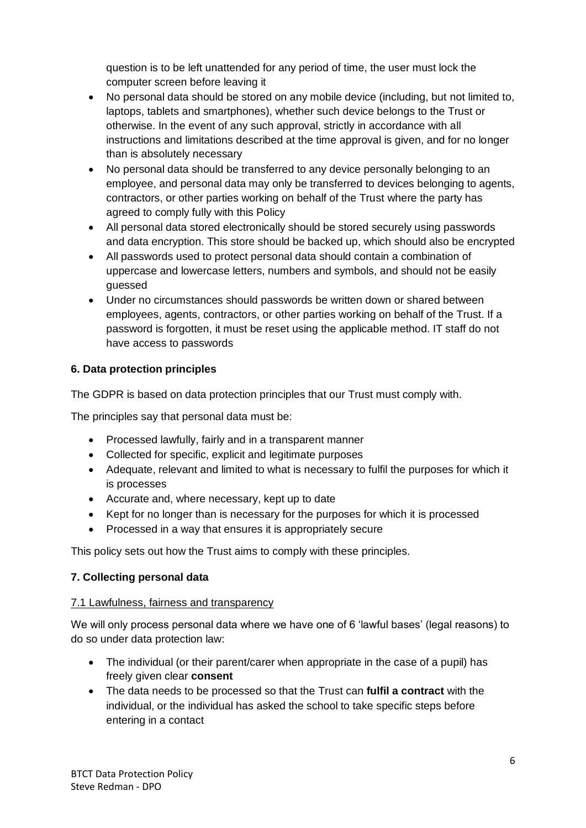question is to be left unattended for any period of time, the user must lock the computer screen before leaving it

- No personal data should be stored on any mobile device (including, but not limited to, laptops, tablets and smartphones), whether such device belongs to the Trust or otherwise. In the event of any such approval, strictly in accordance with all instructions and limitations described at the time approval is given, and for no longer than is absolutely necessary
- No personal data should be transferred to any device personally belonging to an employee, and personal data may only be transferred to devices belonging to agents, contractors, or other parties working on behalf of the Trust where the party has agreed to comply fully with this Policy
- All personal data stored electronically should be stored securely using passwords and data encryption. This store should be backed up, which should also be encrypted
- All passwords used to protect personal data should contain a combination of uppercase and lowercase letters, numbers and symbols, and should not be easily guessed
- Under no circumstances should passwords be written down or shared between employees, agents, contractors, or other parties working on behalf of the Trust. If a password is forgotten, it must be reset using the applicable method. IT staff do not have access to passwords

#### <span id="page-5-0"></span>**6. Data protection principles**

The GDPR is based on data protection principles that our Trust must comply with.

The principles say that personal data must be:

- Processed lawfully, fairly and in a transparent manner
- Collected for specific, explicit and legitimate purposes
- Adequate, relevant and limited to what is necessary to fulfil the purposes for which it is processes
- Accurate and, where necessary, kept up to date
- Kept for no longer than is necessary for the purposes for which it is processed
- Processed in a way that ensures it is appropriately secure

This policy sets out how the Trust aims to comply with these principles.

#### <span id="page-5-1"></span>**7. Collecting personal data**

#### 7.1 Lawfulness, fairness and transparency

We will only process personal data where we have one of 6 'lawful bases' (legal reasons) to do so under data protection law:

- The individual (or their parent/carer when appropriate in the case of a pupil) has freely given clear **consent**
- The data needs to be processed so that the Trust can **fulfil a contract** with the individual, or the individual has asked the school to take specific steps before entering in a contact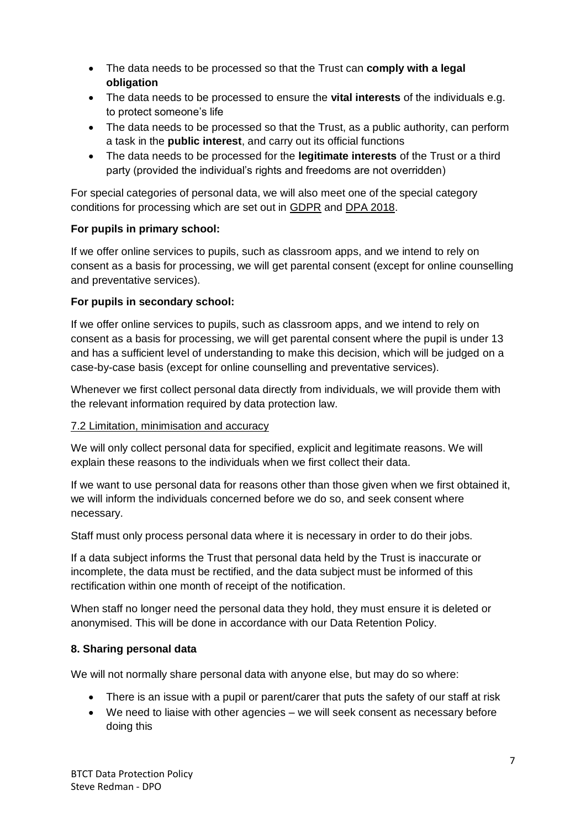- The data needs to be processed so that the Trust can **comply with a legal obligation**
- The data needs to be processed to ensure the **vital interests** of the individuals e.g. to protect someone's life
- The data needs to be processed so that the Trust, as a public authority, can perform a task in the **public interest**, and carry out its official functions
- The data needs to be processed for the **legitimate interests** of the Trust or a third party (provided the individual's rights and freedoms are not overridden)

For special categories of personal data, we will also meet one of the special category conditions for processing which are set out in GDPR and DPA 2018.

#### **For pupils in primary school:**

If we offer online services to pupils, such as classroom apps, and we intend to rely on consent as a basis for processing, we will get parental consent (except for online counselling and preventative services).

#### **For pupils in secondary school:**

If we offer online services to pupils, such as classroom apps, and we intend to rely on consent as a basis for processing, we will get parental consent where the pupil is under 13 and has a sufficient level of understanding to make this decision, which will be judged on a case-by-case basis (except for online counselling and preventative services).

Whenever we first collect personal data directly from individuals, we will provide them with the relevant information required by data protection law.

#### 7.2 Limitation, minimisation and accuracy

We will only collect personal data for specified, explicit and legitimate reasons. We will explain these reasons to the individuals when we first collect their data.

If we want to use personal data for reasons other than those given when we first obtained it, we will inform the individuals concerned before we do so, and seek consent where necessary.

Staff must only process personal data where it is necessary in order to do their jobs.

If a data subject informs the Trust that personal data held by the Trust is inaccurate or incomplete, the data must be rectified, and the data subject must be informed of this rectification within one month of receipt of the notification.

When staff no longer need the personal data they hold, they must ensure it is deleted or anonymised. This will be done in accordance with our Data Retention Policy.

#### <span id="page-6-0"></span>**8. Sharing personal data**

We will not normally share personal data with anyone else, but may do so where:

- There is an issue with a pupil or parent/carer that puts the safety of our staff at risk
- We need to liaise with other agencies we will seek consent as necessary before doing this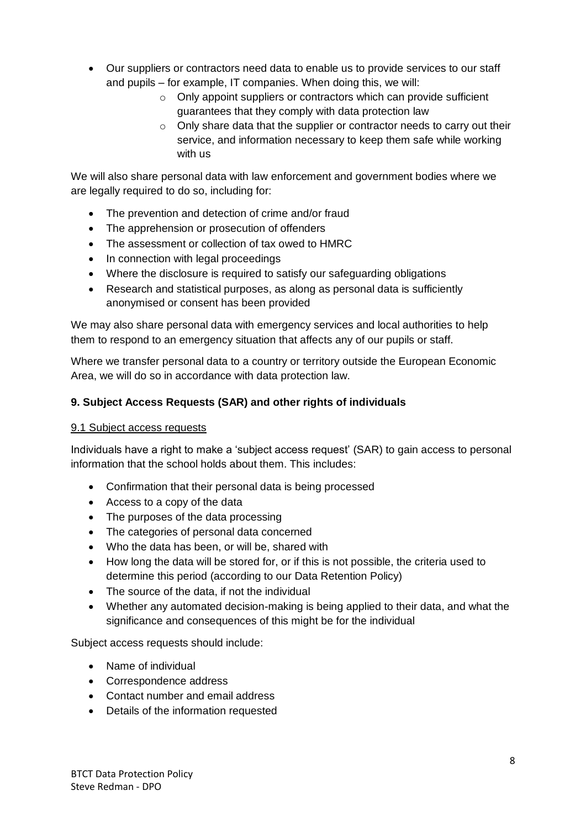- Our suppliers or contractors need data to enable us to provide services to our staff and pupils – for example, IT companies. When doing this, we will:
	- o Only appoint suppliers or contractors which can provide sufficient guarantees that they comply with data protection law
	- o Only share data that the supplier or contractor needs to carry out their service, and information necessary to keep them safe while working with us

We will also share personal data with law enforcement and government bodies where we are legally required to do so, including for:

- The prevention and detection of crime and/or fraud
- The apprehension or prosecution of offenders
- The assessment or collection of tax owed to HMRC
- In connection with legal proceedings
- Where the disclosure is required to satisfy our safeguarding obligations
- Research and statistical purposes, as along as personal data is sufficiently anonymised or consent has been provided

We may also share personal data with emergency services and local authorities to help them to respond to an emergency situation that affects any of our pupils or staff.

Where we transfer personal data to a country or territory outside the European Economic Area, we will do so in accordance with data protection law.

#### <span id="page-7-0"></span>**9. Subject Access Requests (SAR) and other rights of individuals**

#### 9.1 Subject access requests

Individuals have a right to make a 'subject access request' (SAR) to gain access to personal information that the school holds about them. This includes:

- Confirmation that their personal data is being processed
- Access to a copy of the data
- The purposes of the data processing
- The categories of personal data concerned
- Who the data has been, or will be, shared with
- How long the data will be stored for, or if this is not possible, the criteria used to determine this period (according to our Data Retention Policy)
- The source of the data, if not the individual
- Whether any automated decision-making is being applied to their data, and what the significance and consequences of this might be for the individual

Subject access requests should include:

- Name of individual
- Correspondence address
- Contact number and email address
- Details of the information requested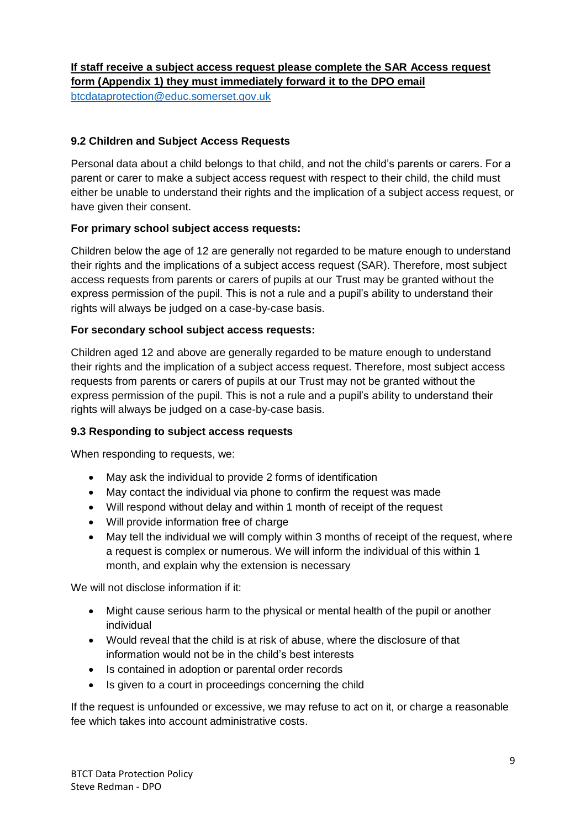#### **If staff receive a subject access request please complete the SAR Access request form (Appendix 1) they must immediately forward it to the DPO email**

[btcdataprotection@educ.somerset.gov.uk](mailto:btcdataprotection@educ.somerset.gov.uk)

#### **9.2 Children and Subject Access Requests**

Personal data about a child belongs to that child, and not the child's parents or carers. For a parent or carer to make a subject access request with respect to their child, the child must either be unable to understand their rights and the implication of a subject access request, or have given their consent.

#### **For primary school subject access requests:**

Children below the age of 12 are generally not regarded to be mature enough to understand their rights and the implications of a subject access request (SAR). Therefore, most subject access requests from parents or carers of pupils at our Trust may be granted without the express permission of the pupil. This is not a rule and a pupil's ability to understand their rights will always be judged on a case-by-case basis.

#### **For secondary school subject access requests:**

Children aged 12 and above are generally regarded to be mature enough to understand their rights and the implication of a subject access request. Therefore, most subject access requests from parents or carers of pupils at our Trust may not be granted without the express permission of the pupil. This is not a rule and a pupil's ability to understand their rights will always be judged on a case-by-case basis.

#### **9.3 Responding to subject access requests**

When responding to requests, we:

- May ask the individual to provide 2 forms of identification
- May contact the individual via phone to confirm the request was made
- Will respond without delay and within 1 month of receipt of the request
- Will provide information free of charge
- May tell the individual we will comply within 3 months of receipt of the request, where a request is complex or numerous. We will inform the individual of this within 1 month, and explain why the extension is necessary

We will not disclose information if it:

- Might cause serious harm to the physical or mental health of the pupil or another individual
- Would reveal that the child is at risk of abuse, where the disclosure of that information would not be in the child's best interests
- Is contained in adoption or parental order records
- Is given to a court in proceedings concerning the child

If the request is unfounded or excessive, we may refuse to act on it, or charge a reasonable fee which takes into account administrative costs.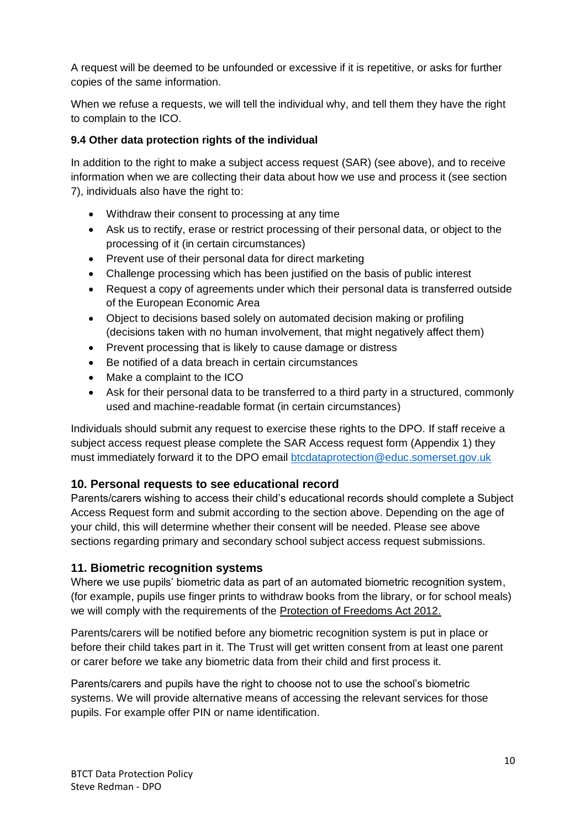A request will be deemed to be unfounded or excessive if it is repetitive, or asks for further copies of the same information.

When we refuse a requests, we will tell the individual why, and tell them they have the right to complain to the ICO.

#### **9.4 Other data protection rights of the individual**

In addition to the right to make a subject access request (SAR) (see above), and to receive information when we are collecting their data about how we use and process it (see section 7), individuals also have the right to:

- Withdraw their consent to processing at any time
- Ask us to rectify, erase or restrict processing of their personal data, or object to the processing of it (in certain circumstances)
- Prevent use of their personal data for direct marketing
- Challenge processing which has been justified on the basis of public interest
- Request a copy of agreements under which their personal data is transferred outside of the European Economic Area
- Object to decisions based solely on automated decision making or profiling (decisions taken with no human involvement, that might negatively affect them)
- Prevent processing that is likely to cause damage or distress
- Be notified of a data breach in certain circumstances
- Make a complaint to the ICO
- Ask for their personal data to be transferred to a third party in a structured, commonly used and machine-readable format (in certain circumstances)

Individuals should submit any request to exercise these rights to the DPO. If staff receive a subject access request please complete the SAR Access request form (Appendix 1) they must immediately forward it to the DPO email [btcdataprotection@educ.somerset.gov.uk](mailto:btcdataprotection@educ.somerset.gov.uk)

# <span id="page-9-0"></span>**10. Personal requests to see educational record**

Parents/carers wishing to access their child's educational records should complete a Subject Access Request form and submit according to the section above. Depending on the age of your child, this will determine whether their consent will be needed. Please see above sections regarding primary and secondary school subject access request submissions.

#### <span id="page-9-1"></span>**11. Biometric recognition systems**

Where we use pupils' biometric data as part of an automated biometric recognition system, (for example, pupils use finger prints to withdraw books from the library, or for school meals) we will comply with the requirements of the Protection of Freedoms Act 2012.

Parents/carers will be notified before any biometric recognition system is put in place or before their child takes part in it. The Trust will get written consent from at least one parent or carer before we take any biometric data from their child and first process it.

Parents/carers and pupils have the right to choose not to use the school's biometric systems. We will provide alternative means of accessing the relevant services for those pupils. For example offer PIN or name identification.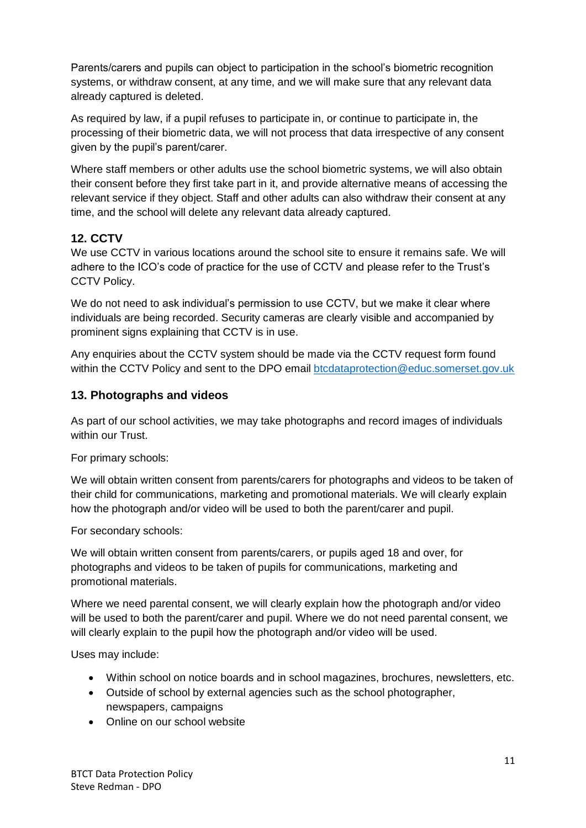Parents/carers and pupils can object to participation in the school's biometric recognition systems, or withdraw consent, at any time, and we will make sure that any relevant data already captured is deleted.

As required by law, if a pupil refuses to participate in, or continue to participate in, the processing of their biometric data, we will not process that data irrespective of any consent given by the pupil's parent/carer.

Where staff members or other adults use the school biometric systems, we will also obtain their consent before they first take part in it, and provide alternative means of accessing the relevant service if they object. Staff and other adults can also withdraw their consent at any time, and the school will delete any relevant data already captured.

# <span id="page-10-0"></span>**12. CCTV**

We use CCTV in various locations around the school site to ensure it remains safe. We will adhere to the ICO's code of practice for the use of CCTV and please refer to the Trust's CCTV Policy.

We do not need to ask individual's permission to use CCTV, but we make it clear where individuals are being recorded. Security cameras are clearly visible and accompanied by prominent signs explaining that CCTV is in use.

Any enquiries about the CCTV system should be made via the CCTV request form found within the CCTV Policy and sent to the DPO email [btcdataprotection@educ.somerset.gov.uk](mailto:btcdataprotection@educ.somerset.gov.uk)

# <span id="page-10-1"></span>**13. Photographs and videos**

As part of our school activities, we may take photographs and record images of individuals within our Trust.

For primary schools:

We will obtain written consent from parents/carers for photographs and videos to be taken of their child for communications, marketing and promotional materials. We will clearly explain how the photograph and/or video will be used to both the parent/carer and pupil.

For secondary schools:

We will obtain written consent from parents/carers, or pupils aged 18 and over, for photographs and videos to be taken of pupils for communications, marketing and promotional materials.

Where we need parental consent, we will clearly explain how the photograph and/or video will be used to both the parent/carer and pupil. Where we do not need parental consent, we will clearly explain to the pupil how the photograph and/or video will be used.

Uses may include:

- Within school on notice boards and in school magazines, brochures, newsletters, etc.
- Outside of school by external agencies such as the school photographer, newspapers, campaigns
- Online on our school website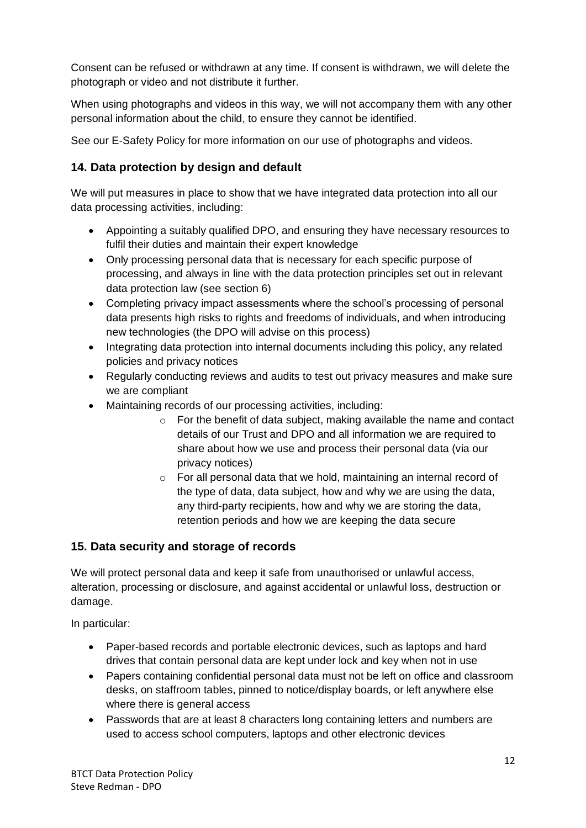Consent can be refused or withdrawn at any time. If consent is withdrawn, we will delete the photograph or video and not distribute it further.

When using photographs and videos in this way, we will not accompany them with any other personal information about the child, to ensure they cannot be identified.

See our E-Safety Policy for more information on our use of photographs and videos.

# <span id="page-11-0"></span>**14. Data protection by design and default**

We will put measures in place to show that we have integrated data protection into all our data processing activities, including:

- Appointing a suitably qualified DPO, and ensuring they have necessary resources to fulfil their duties and maintain their expert knowledge
- Only processing personal data that is necessary for each specific purpose of processing, and always in line with the data protection principles set out in relevant data protection law (see section 6)
- Completing privacy impact assessments where the school's processing of personal data presents high risks to rights and freedoms of individuals, and when introducing new technologies (the DPO will advise on this process)
- Integrating data protection into internal documents including this policy, any related policies and privacy notices
- Regularly conducting reviews and audits to test out privacy measures and make sure we are compliant
- Maintaining records of our processing activities, including:
	- o For the benefit of data subject, making available the name and contact details of our Trust and DPO and all information we are required to share about how we use and process their personal data (via our privacy notices)
	- o For all personal data that we hold, maintaining an internal record of the type of data, data subject, how and why we are using the data, any third-party recipients, how and why we are storing the data, retention periods and how we are keeping the data secure

# <span id="page-11-1"></span>**15. Data security and storage of records**

We will protect personal data and keep it safe from unauthorised or unlawful access, alteration, processing or disclosure, and against accidental or unlawful loss, destruction or damage.

In particular:

- Paper-based records and portable electronic devices, such as laptops and hard drives that contain personal data are kept under lock and key when not in use
- Papers containing confidential personal data must not be left on office and classroom desks, on staffroom tables, pinned to notice/display boards, or left anywhere else where there is general access
- Passwords that are at least 8 characters long containing letters and numbers are used to access school computers, laptops and other electronic devices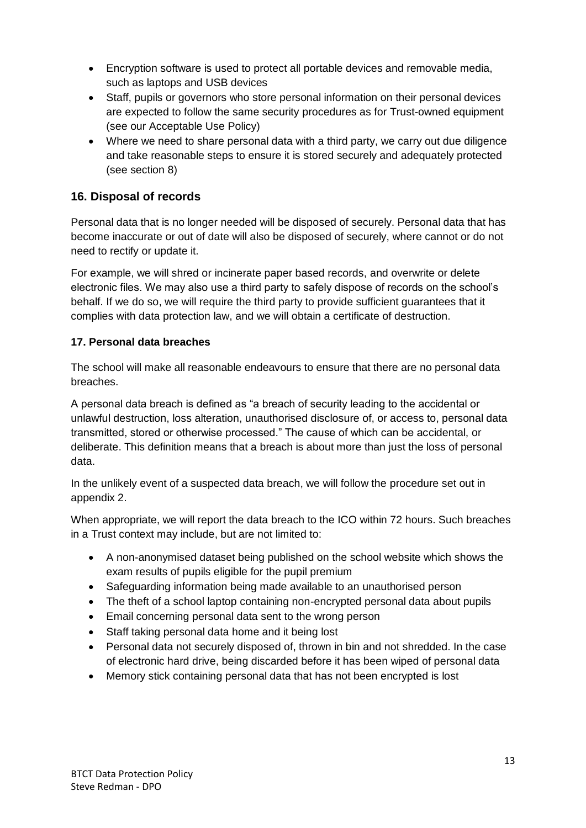- Encryption software is used to protect all portable devices and removable media, such as laptops and USB devices
- Staff, pupils or governors who store personal information on their personal devices are expected to follow the same security procedures as for Trust-owned equipment (see our Acceptable Use Policy)
- Where we need to share personal data with a third party, we carry out due diligence and take reasonable steps to ensure it is stored securely and adequately protected (see section 8)

# <span id="page-12-0"></span>**16. Disposal of records**

Personal data that is no longer needed will be disposed of securely. Personal data that has become inaccurate or out of date will also be disposed of securely, where cannot or do not need to rectify or update it.

For example, we will shred or incinerate paper based records, and overwrite or delete electronic files. We may also use a third party to safely dispose of records on the school's behalf. If we do so, we will require the third party to provide sufficient guarantees that it complies with data protection law, and we will obtain a certificate of destruction.

#### <span id="page-12-1"></span>**17. Personal data breaches**

The school will make all reasonable endeavours to ensure that there are no personal data breaches.

A personal data breach is defined as "a breach of security leading to the accidental or unlawful destruction, loss alteration, unauthorised disclosure of, or access to, personal data transmitted, stored or otherwise processed." The cause of which can be accidental, or deliberate. This definition means that a breach is about more than just the loss of personal data.

In the unlikely event of a suspected data breach, we will follow the procedure set out in appendix 2.

When appropriate, we will report the data breach to the ICO within 72 hours. Such breaches in a Trust context may include, but are not limited to:

- A non-anonymised dataset being published on the school website which shows the exam results of pupils eligible for the pupil premium
- Safeguarding information being made available to an unauthorised person
- The theft of a school laptop containing non-encrypted personal data about pupils
- Email concerning personal data sent to the wrong person
- Staff taking personal data home and it being lost
- Personal data not securely disposed of, thrown in bin and not shredded. In the case of electronic hard drive, being discarded before it has been wiped of personal data
- Memory stick containing personal data that has not been encrypted is lost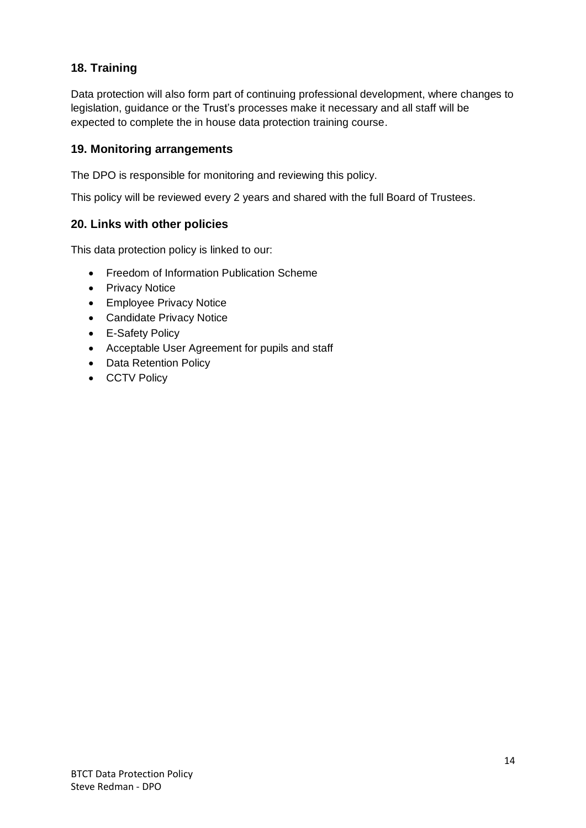# <span id="page-13-0"></span>**18. Training**

Data protection will also form part of continuing professional development, where changes to legislation, guidance or the Trust's processes make it necessary and all staff will be expected to complete the in house data protection training course.

#### <span id="page-13-1"></span>**19. Monitoring arrangements**

The DPO is responsible for monitoring and reviewing this policy.

This policy will be reviewed every 2 years and shared with the full Board of Trustees.

#### <span id="page-13-2"></span>**20. Links with other policies**

This data protection policy is linked to our:

- Freedom of Information Publication Scheme
- Privacy Notice
- Employee Privacy Notice
- Candidate Privacy Notice
- E-Safety Policy
- Acceptable User Agreement for pupils and staff
- Data Retention Policy
- CCTV Policy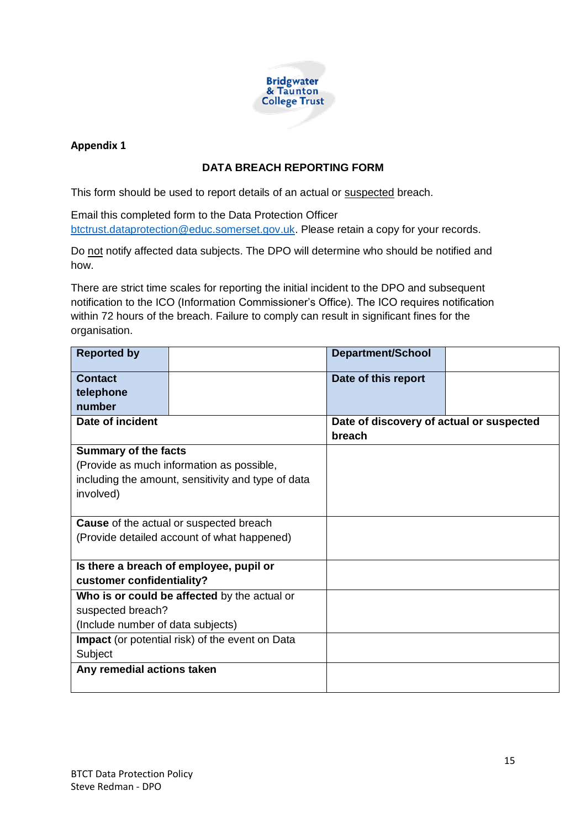

#### **Appendix 1**

#### **DATA BREACH REPORTING FORM**

This form should be used to report details of an actual or suspected breach.

Email this completed form to the Data Protection Officer [btctrust.dataprotection@educ.somerset.gov.uk.](mailto:btctrust.dataprotection@educ.somerset.gov.uk) Please retain a copy for your records.

Do not notify affected data subjects. The DPO will determine who should be notified and how.

There are strict time scales for reporting the initial incident to the DPO and subsequent notification to the ICO (Information Commissioner's Office). The ICO requires notification within 72 hours of the breach. Failure to comply can result in significant fines for the organisation.

| <b>Reported by</b>                                 |                                                        | Department/School                        |  |
|----------------------------------------------------|--------------------------------------------------------|------------------------------------------|--|
| <b>Contact</b>                                     |                                                        | Date of this report                      |  |
| telephone                                          |                                                        |                                          |  |
| number                                             |                                                        |                                          |  |
| Date of incident                                   |                                                        | Date of discovery of actual or suspected |  |
|                                                    |                                                        | breach                                   |  |
| <b>Summary of the facts</b>                        |                                                        |                                          |  |
| (Provide as much information as possible,          |                                                        |                                          |  |
| including the amount, sensitivity and type of data |                                                        |                                          |  |
| involved)                                          |                                                        |                                          |  |
|                                                    |                                                        |                                          |  |
| <b>Cause</b> of the actual or suspected breach     |                                                        |                                          |  |
| (Provide detailed account of what happened)        |                                                        |                                          |  |
|                                                    |                                                        |                                          |  |
| Is there a breach of employee, pupil or            |                                                        |                                          |  |
| customer confidentiality?                          |                                                        |                                          |  |
|                                                    | Who is or could be affected by the actual or           |                                          |  |
| suspected breach?                                  |                                                        |                                          |  |
| (Include number of data subjects)                  |                                                        |                                          |  |
|                                                    | <b>Impact</b> (or potential risk) of the event on Data |                                          |  |
| Subject                                            |                                                        |                                          |  |
| Any remedial actions taken                         |                                                        |                                          |  |
|                                                    |                                                        |                                          |  |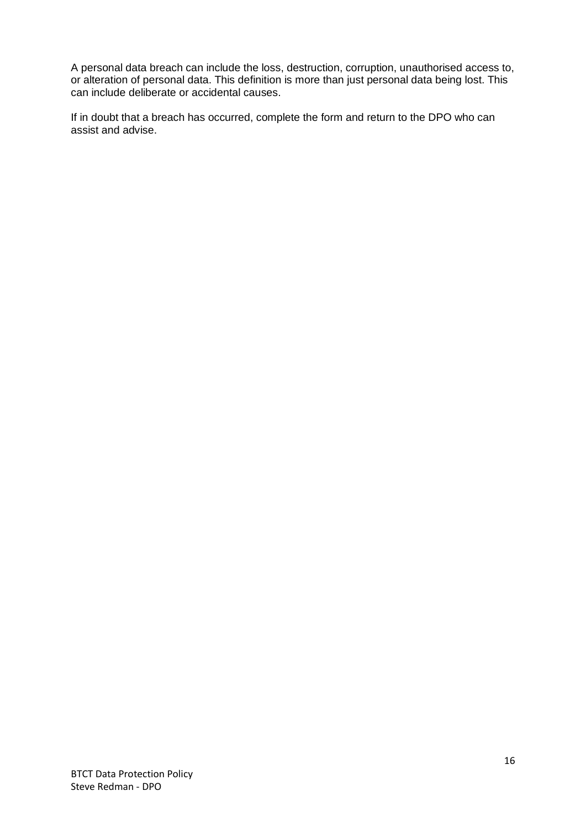A personal data breach can include the loss, destruction, corruption, unauthorised access to, or alteration of personal data. This definition is more than just personal data being lost. This can include deliberate or accidental causes.

If in doubt that a breach has occurred, complete the form and return to the DPO who can assist and advise.